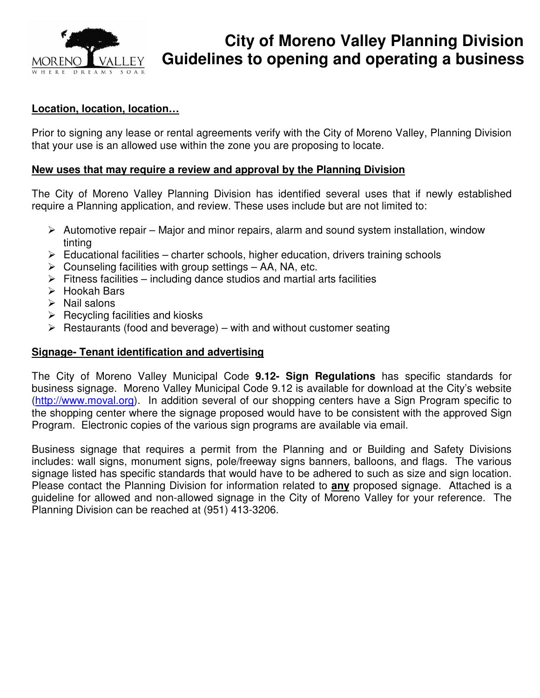

# **City of Moreno Valley Planning Division MORENO** VALLEY Guidelines to opening and operating a business

#### **Location, location, location…**

Prior to signing any lease or rental agreements verify with the City of Moreno Valley, Planning Division that your use is an allowed use within the zone you are proposing to locate.

#### **New uses that may require a review and approval by the Planning Division**

The City of Moreno Valley Planning Division has identified several uses that if newly established require a Planning application, and review. These uses include but are not limited to:

- $\triangleright$  Automotive repair Major and minor repairs, alarm and sound system installation, window tinting
- $\triangleright$  Educational facilities charter schools, higher education, drivers training schools
- $\triangleright$  Counseling facilities with group settings AA, NA, etc.
- $\triangleright$  Fitness facilities including dance studios and martial arts facilities
- $\triangleright$  Hookah Bars
- $\triangleright$  Nail salons
- $\triangleright$  Recycling facilities and kiosks
- $\triangleright$  Restaurants (food and beverage) with and without customer seating

#### **Signage- Tenant identification and advertising**

The City of Moreno Valley Municipal Code **9.12- Sign Regulations** has specific standards for business signage. Moreno Valley Municipal Code 9.12 is available for download at the City's website (http://www.moval.org). In addition several of our shopping centers have a Sign Program specific to the shopping center where the signage proposed would have to be consistent with the approved Sign Program. Electronic copies of the various sign programs are available via email.

Business signage that requires a permit from the Planning and or Building and Safety Divisions includes: wall signs, monument signs, pole/freeway signs banners, balloons, and flags. The various signage listed has specific standards that would have to be adhered to such as size and sign location. Please contact the Planning Division for information related to **any** proposed signage. Attached is a guideline for allowed and non-allowed signage in the City of Moreno Valley for your reference. The Planning Division can be reached at (951) 413-3206.